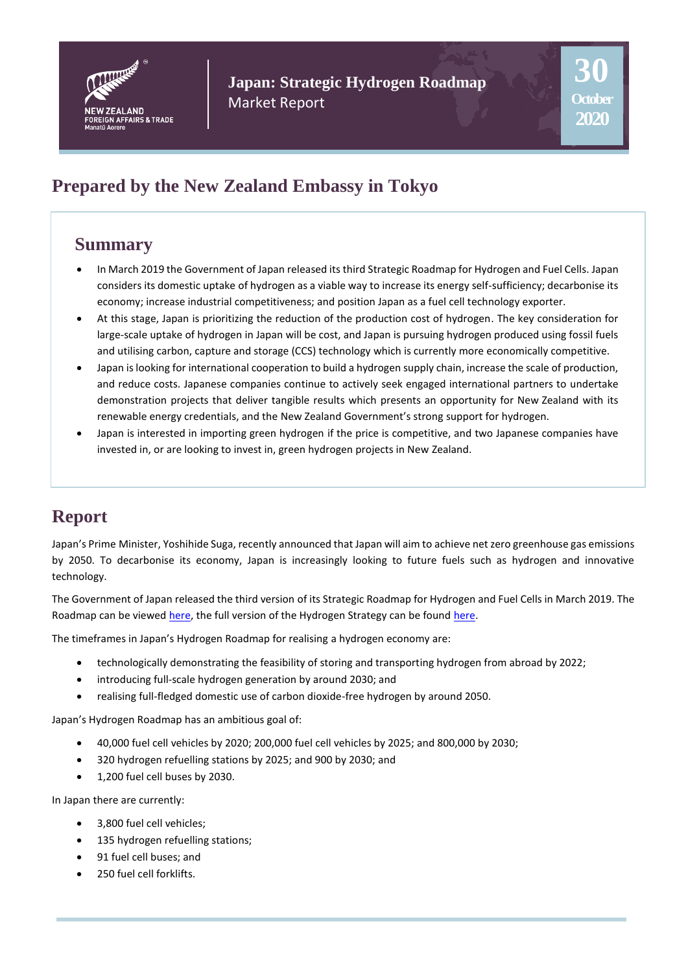

**Japan: Strategic Hydrogen Roadmap** Market Report

# **Prepared by the New Zealand Embassy in Tokyo**

## **Summary**

- In March 2019 the Government of Japan released its third Strategic Roadmap for Hydrogen and Fuel Cells. Japan considers its domestic uptake of hydrogen as a viable way to increase its energy self-sufficiency; decarbonise its economy; increase industrial competitiveness; and position Japan as a fuel cell technology exporter.
- At this stage, Japan is prioritizing the reduction of the production cost of hydrogen. The key consideration for large-scale uptake of hydrogen in Japan will be cost, and Japan is pursuing hydrogen produced using fossil fuels and utilising carbon, capture and storage (CCS) technology which is currently more economically competitive.
- Japan is looking for international cooperation to build a hydrogen supply chain, increase the scale of production, and reduce costs. Japanese companies continue to actively seek engaged international partners to undertake demonstration projects that deliver tangible results which presents an opportunity for New Zealand with its renewable energy credentials, and the New Zealand Government's strong support for hydrogen.
- Japan is interested in importing green hydrogen if the price is competitive, and two Japanese companies have invested in, or are looking to invest in, green hydrogen projects in New Zealand.

# **Report**

Japan's Prime Minister, Yoshihide Suga, recently announced that Japan will aim to achieve net zero greenhouse gas emissions by 2050. To decarbonise its economy, Japan is increasingly looking to future fuels such as hydrogen and innovative technology.

The Government of Japan released the third version of its Strategic Roadmap for Hydrogen and Fuel Cells in March 2019. The Roadmap can be viewe[d here,](https://www.meti.go.jp/english/press/2019/pdf/0312_002a.pdf) the full version of the Hydrogen Strategy can be foun[d here.](https://www.meti.go.jp/english/press/2017/pdf/1226_003b.pdf)

The timeframes in Japan's Hydrogen Roadmap for realising a hydrogen economy are:

- technologically demonstrating the feasibility of storing and transporting hydrogen from abroad by 2022;
- introducing full-scale hydrogen generation by around 2030; and
- realising full-fledged domestic use of carbon dioxide-free hydrogen by around 2050.

Japan's Hydrogen Roadmap has an ambitious goal of:

- 40,000 fuel cell vehicles by 2020; 200,000 fuel cell vehicles by 2025; and 800,000 by 2030;
- 320 hydrogen refuelling stations by 2025; and 900 by 2030; and
- 1,200 fuel cell buses by 2030.

In Japan there are currently:

- 3,800 fuel cell vehicles;
- 135 hydrogen refuelling stations;
- 91 fuel cell buses; and
- 250 fuel cell forklifts.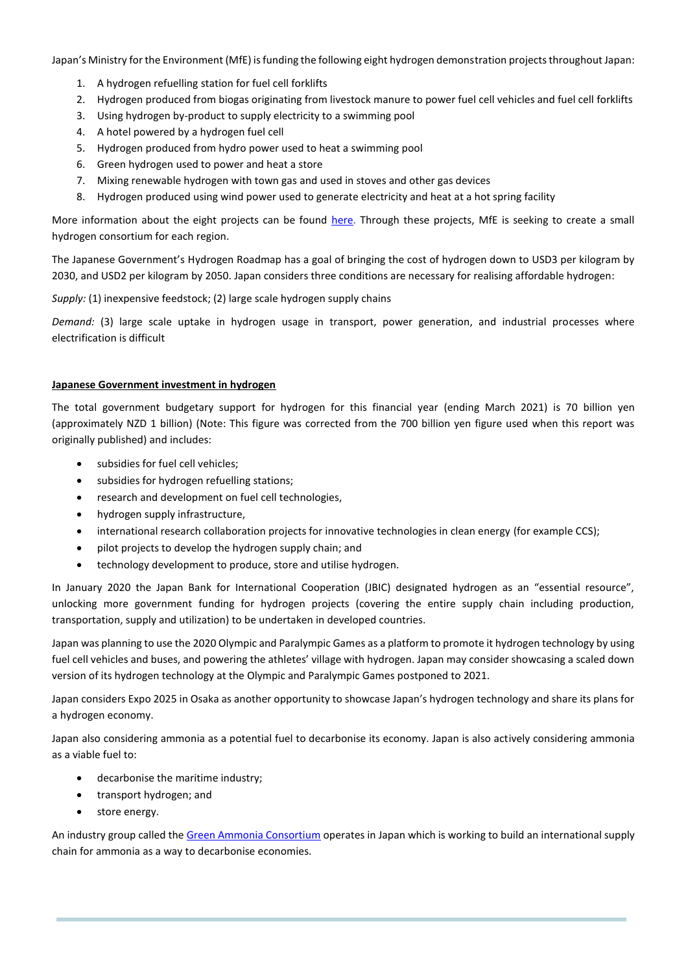Japan's Ministry for the Environment (MfE) is funding the following eight hydrogen demonstration projects throughout Japan:

- 1. A hydrogen refuelling station for fuel cell forklifts
- 2. Hydrogen produced from biogas originating from livestock manure to power fuel cell vehicles and fuel cell forklifts
- 3. Using hydrogen by-product to supply electricity to a swimming pool
- 4. A hotel powered by a hydrogen fuel cell
- 5. Hydrogen produced from hydro power used to heat a swimming pool
- 6. Green hydrogen used to power and heat a store
- 7. Mixing renewable hydrogen with town gas and used in stoves and other gas devices
- 8. Hydrogen produced using wind power used to generate electricity and heat at a hot spring facility

More information about the eight projects can be found [here.](https://www.env.go.jp/seisaku/list/ondanka_saisei/lowcarbon-h2-sc/en/index.html) Through these projects, MfE is seeking to create a small hydrogen consortium for each region.

The Japanese Government's Hydrogen Roadmap has a goal of bringing the cost of hydrogen down to USD3 per kilogram by 2030, and USD2 per kilogram by 2050. Japan considers three conditions are necessary for realising affordable hydrogen:

*Supply:* (1) inexpensive feedstock; (2) large scale hydrogen supply chains

*Demand:* (3) large scale uptake in hydrogen usage in transport, power generation, and industrial processes where electrification is difficult

#### **Japanese Government investment in hydrogen**

The total government budgetary support for hydrogen for this financial year (ending March 2021) is 70 billion yen (approximately NZD 1 billion) (Note: This figure was corrected from the 700 billion yen figure used when this report was originally published) and includes:

- subsidies for fuel cell vehicles;
- subsidies for hydrogen refuelling stations;
- research and development on fuel cell technologies,
- hydrogen supply infrastructure,
- international research collaboration projects for innovative technologies in clean energy (for example CCS);
- pilot projects to develop the hydrogen supply chain; and
- technology development to produce, store and utilise hydrogen.

In January 2020 the Japan Bank for International Cooperation (JBIC) designated hydrogen as an "essential resource", unlocking more government funding for hydrogen projects (covering the entire supply chain including production, transportation, supply and utilization) to be undertaken in developed countries.

Japan was planning to use the 2020 Olympic and Paralympic Games as a platform to promote it hydrogen technology by using fuel cell vehicles and buses, and powering the athletes' village with hydrogen. Japan may consider showcasing a scaled down version of its hydrogen technology at the Olympic and Paralympic Games postponed to 2021.

Japan considers Expo 2025 in Osaka as another opportunity to showcase Japan's hydrogen technology and share its plans for a hydrogen economy.

Japan also considering ammonia as a potential fuel to decarbonise its economy. Japan is also actively considering ammonia as a viable fuel to:

- decarbonise the maritime industry;
- transport hydrogen; and
- store energy.

An industry group called th[e Green Ammonia Consortium](https://www.ammoniaenergy.org/organization/green-ammonia-consortium/) operates in Japan which is working to build an international supply chain for ammonia as a way to decarbonise economies.